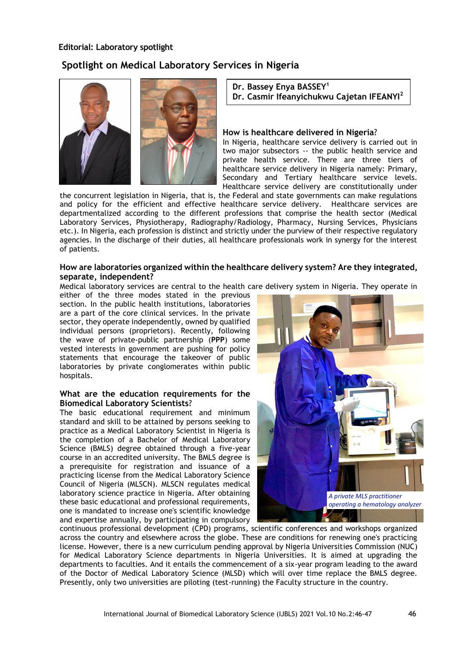# **Editorial: Laboratory spotlight**

# **Spotlight on Medical Laboratory Services in Nigeria**



# **Dr. Bassey Enya BASSEY<sup>1</sup> Dr. Casmir Ifeanyichukwu Cajetan IFEANYI<sup>2</sup>**

#### **How is healthcare delivered in Nigeria**?

In Nigeria, healthcare service delivery is carried out in two major subsectors -- the public health service and private health service. There are three tiers of healthcare service delivery in Nigeria namely: Primary, Secondary and Tertiary healthcare service levels. Healthcare service delivery are constitutionally under

the concurrent legislation in Nigeria, that is, the Federal and state governments can make regulations and policy for the efficient and effective healthcare service delivery. Healthcare services are departmentalized according to the different professions that comprise the health sector (Medical Laboratory Services, Physiotherapy, Radiography/Radiology, Pharmacy, Nursing Services, Physicians etc.). In Nigeria, each profession is distinct and strictly under the purview of their respective regulatory agencies. In the discharge of their duties, all healthcare professionals work in synergy for the interest of patients.

## **How are laboratories organized within the healthcare delivery system? Are they integrated, separate, independent?**

Medical laboratory services are central to the health care delivery system in Nigeria. They operate in

either of the three modes stated in the previous section. In the public health institutions, laboratories are a part of the core clinical services. In the private sector, they operate independently, owned by qualified individual persons (proprietors). Recently, following the wave of private-public partnership (**PPP**) some vested interests in government are pushing for policy statements that encourage the takeover of public laboratories by private conglomerates within public hospitals.

### **What are the education requirements for the Biomedical Laboratory Scientists**?

The basic educational requirement and minimum standard and skill to be attained by persons seeking to practice as a Medical Laboratory Scientist in Nigeria is the completion of a Bachelor of Medical Laboratory Science (BMLS) degree obtained through a five-year course in an accredited university. The BMLS degree is a prerequisite for registration and issuance of a practicing license from the Medical Laboratory Science Council of Nigeria (MLSCN). MLSCN regulates medical laboratory science practice in Nigeria. After obtaining these basic educational and professional requirements, one is mandated to increase one's scientific knowledge and expertise annually, by participating in compulsory



continuous professional development (CPD) programs, scientific conferences and workshops organized across the country and elsewhere across the globe. These are conditions for renewing one's practicing license. However, there is a new curriculum pending approval by Nigeria Universities Commission (NUC) for Medical Laboratory Science departments in Nigeria Universities. It is aimed at upgrading the departments to faculties. And it entails the commencement of a six-year program leading to the award of the Doctor of Medical Laboratory Science (MLSD) which will over time replace the BMLS degree. Presently, only two universities are piloting (test-running) the Faculty structure in the country.